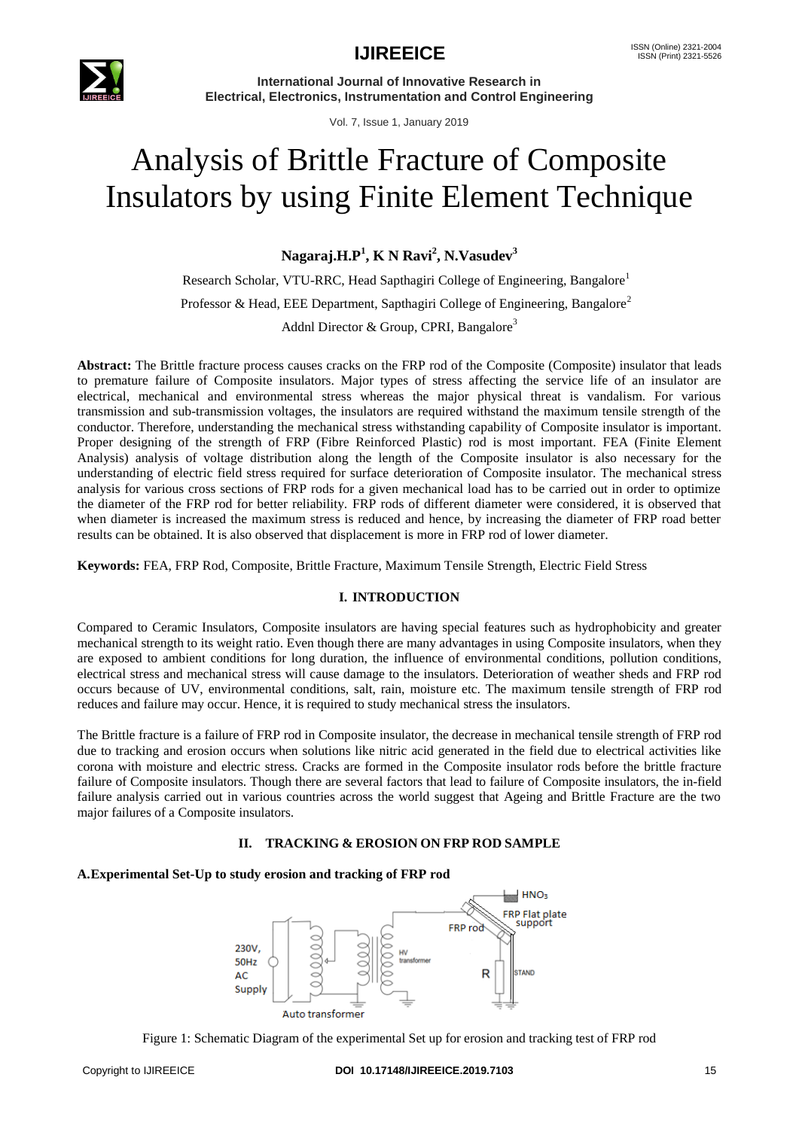

Vol. 7, Issue 1, January 2019

# Analysis of Brittle Fracture of Composite Insulators by using Finite Element Technique

**Nagaraj.H.P<sup>1</sup> , K N Ravi<sup>2</sup> , N.Vasudev<sup>3</sup>**

Research Scholar, VTU-RRC, Head Sapthagiri College of Engineering, Bangalore<sup>1</sup> Professor & Head, EEE Department, Sapthagiri College of Engineering, Bangalore<sup>2</sup> Addnl Director & Group, CPRI, Bangalore<sup>3</sup>

**Abstract:** The Brittle fracture process causes cracks on the FRP rod of the Composite (Composite) insulator that leads to premature failure of Composite insulators. Major types of stress affecting the service life of an insulator are electrical, mechanical and environmental stress whereas the major physical threat is vandalism. For various transmission and sub-transmission voltages, the insulators are required withstand the maximum tensile strength of the conductor. Therefore, understanding the mechanical stress withstanding capability of Composite insulator is important. Proper designing of the strength of FRP (Fibre Reinforced Plastic) rod is most important. FEA (Finite Element Analysis) analysis of voltage distribution along the length of the Composite insulator is also necessary for the understanding of electric field stress required for surface deterioration of Composite insulator. The mechanical stress analysis for various cross sections of FRP rods for a given mechanical load has to be carried out in order to optimize the diameter of the FRP rod for better reliability. FRP rods of different diameter were considered, it is observed that when diameter is increased the maximum stress is reduced and hence, by increasing the diameter of FRP road better results can be obtained. It is also observed that displacement is more in FRP rod of lower diameter.

**Keywords:** FEA, FRP Rod, Composite, Brittle Fracture, Maximum Tensile Strength, Electric Field Stress

### **I. INTRODUCTION**

Compared to Ceramic Insulators, Composite insulators are having special features such as hydrophobicity and greater mechanical strength to its weight ratio. Even though there are many advantages in using Composite insulators, when they are exposed to ambient conditions for long duration, the influence of environmental conditions, pollution conditions, electrical stress and mechanical stress will cause damage to the insulators. Deterioration of weather sheds and FRP rod occurs because of UV, environmental conditions, salt, rain, moisture etc. The maximum tensile strength of FRP rod reduces and failure may occur. Hence, it is required to study mechanical stress the insulators.

The Brittle fracture is a failure of FRP rod in Composite insulator, the decrease in mechanical tensile strength of FRP rod due to tracking and erosion occurs when solutions like nitric acid generated in the field due to electrical activities like corona with moisture and electric stress. Cracks are formed in the Composite insulator rods before the brittle fracture failure of Composite insulators. Though there are several factors that lead to failure of Composite insulators, the in-field failure analysis carried out in various countries across the world suggest that Ageing and Brittle Fracture are the two major failures of a Composite insulators.

### **II. TRACKING & EROSION ON FRP ROD SAMPLE**

### **A.Experimental Set-Up to study erosion and tracking of FRP rod**



Figure 1: Schematic Diagram of the experimental Set up for erosion and tracking test of FRP rod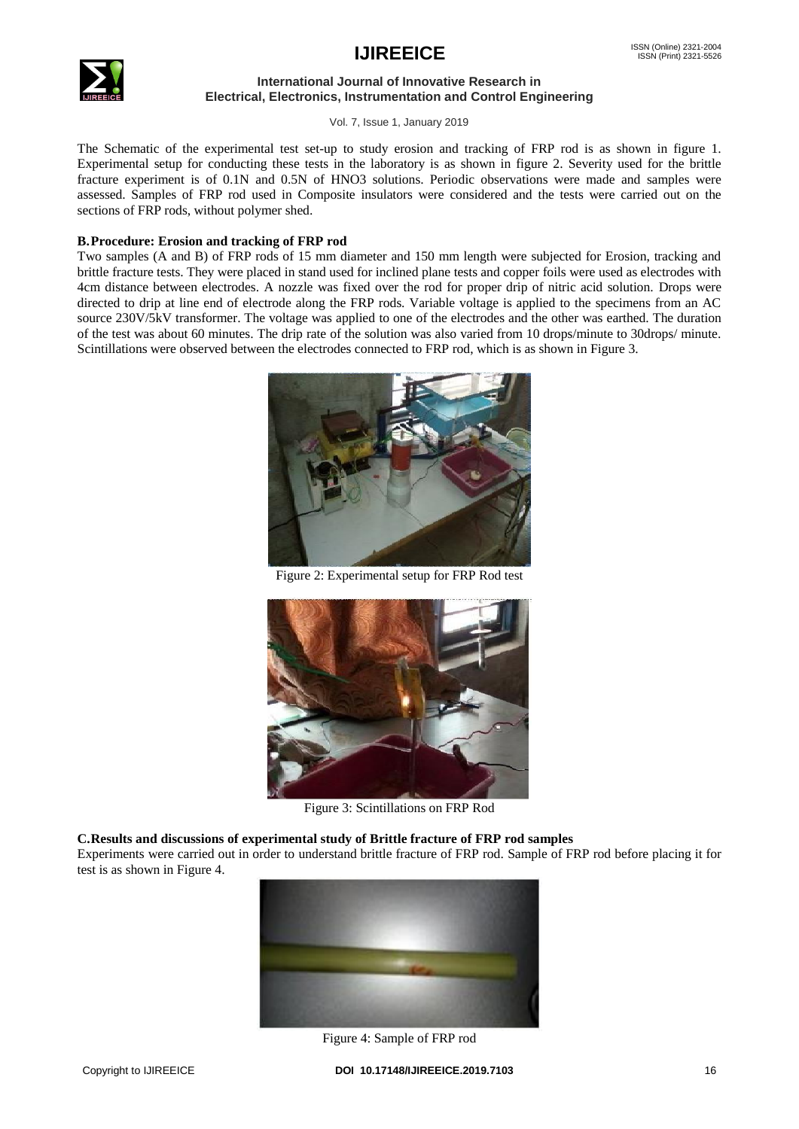### **IJIREEICE** ISSN (Online) 2321-2004



#### **International Journal of Innovative Research in Electrical, Electronics, Instrumentation and Control Engineering**

Vol. 7, Issue 1, January 2019

The Schematic of the experimental test set-up to study erosion and tracking of FRP rod is as shown in figure 1. Experimental setup for conducting these tests in the laboratory is as shown in figure 2. Severity used for the brittle fracture experiment is of 0.1N and 0.5N of HNO3 solutions. Periodic observations were made and samples were assessed. Samples of FRP rod used in Composite insulators were considered and the tests were carried out on the sections of FRP rods, without polymer shed.

#### **B.Procedure: Erosion and tracking of FRP rod**

Two samples (A and B) of FRP rods of 15 mm diameter and 150 mm length were subjected for Erosion, tracking and brittle fracture tests. They were placed in stand used for inclined plane tests and copper foils were used as electrodes with 4cm distance between electrodes. A nozzle was fixed over the rod for proper drip of nitric acid solution. Drops were directed to drip at line end of electrode along the FRP rods. Variable voltage is applied to the specimens from an AC source 230V/5kV transformer. The voltage was applied to one of the electrodes and the other was earthed. The duration of the test was about 60 minutes. The drip rate of the solution was also varied from 10 drops/minute to 30drops/ minute. Scintillations were observed between the electrodes connected to FRP rod, which is as shown in Figure 3.



Figure 2: Experimental setup for FRP Rod test



Figure 3: Scintillations on FRP Rod

**C.Results and discussions of experimental study of Brittle fracture of FRP rod samples** Experiments were carried out in order to understand brittle fracture of FRP rod. Sample of FRP rod before placing it for test is as shown in Figure 4.



Figure 4: Sample of FRP rod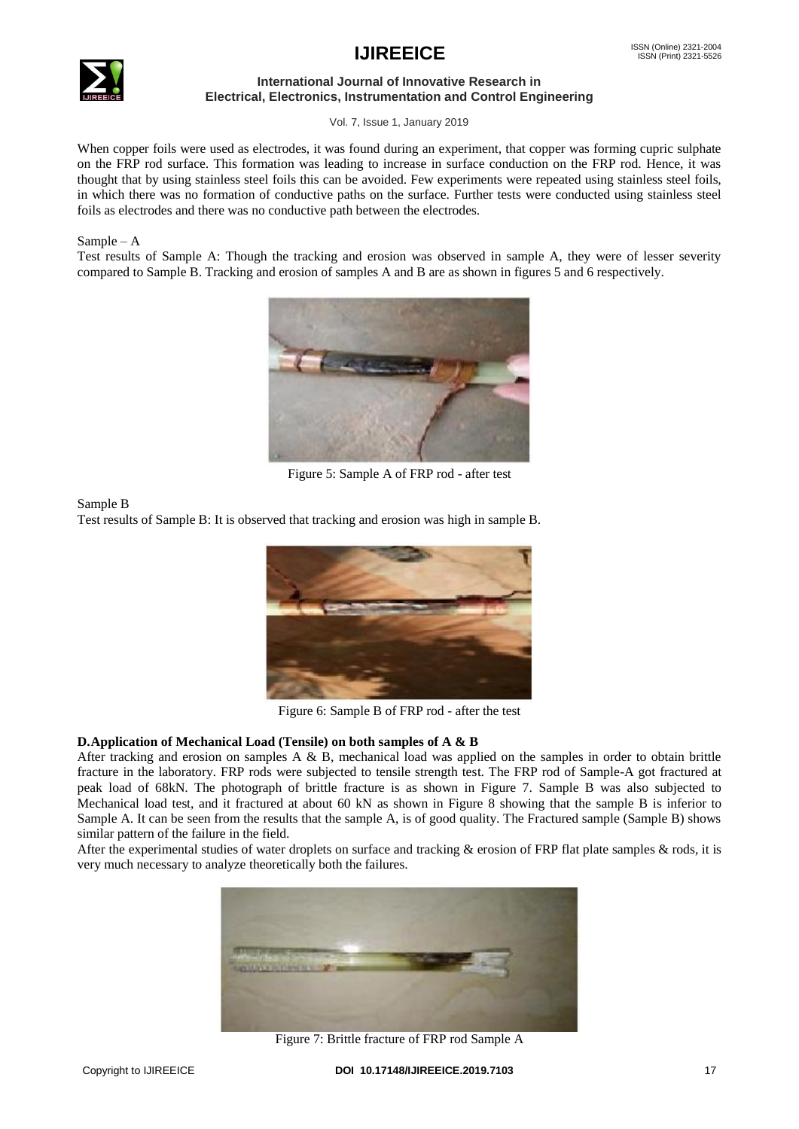## **IJIREEICE** ISSN (Online) 2321-2004



#### **International Journal of Innovative Research in Electrical, Electronics, Instrumentation and Control Engineering**

Vol. 7, Issue 1, January 2019

When copper foils were used as electrodes, it was found during an experiment, that copper was forming cupric sulphate on the FRP rod surface. This formation was leading to increase in surface conduction on the FRP rod. Hence, it was thought that by using stainless steel foils this can be avoided. Few experiments were repeated using stainless steel foils, in which there was no formation of conductive paths on the surface. Further tests were conducted using stainless steel foils as electrodes and there was no conductive path between the electrodes.

#### Sample – A

Test results of Sample A: Though the tracking and erosion was observed in sample A, they were of lesser severity compared to Sample B. Tracking and erosion of samples A and B are as shown in figures 5 and 6 respectively.



Figure 5: Sample A of FRP rod - after test

#### Sample B

Test results of Sample B: It is observed that tracking and erosion was high in sample B.



Figure 6: Sample B of FRP rod - after the test

#### **D.Application of Mechanical Load (Tensile) on both samples of A & B**

After tracking and erosion on samples A & B, mechanical load was applied on the samples in order to obtain brittle fracture in the laboratory. FRP rods were subjected to tensile strength test. The FRP rod of Sample-A got fractured at peak load of 68kN. The photograph of brittle fracture is as shown in Figure 7. Sample B was also subjected to Mechanical load test, and it fractured at about 60 kN as shown in Figure 8 showing that the sample B is inferior to Sample A. It can be seen from the results that the sample A, is of good quality. The Fractured sample (Sample B) shows similar pattern of the failure in the field.

After the experimental studies of water droplets on surface and tracking  $\&$  erosion of FRP flat plate samples  $\&$  rods, it is very much necessary to analyze theoretically both the failures.



Figure 7: Brittle fracture of FRP rod Sample A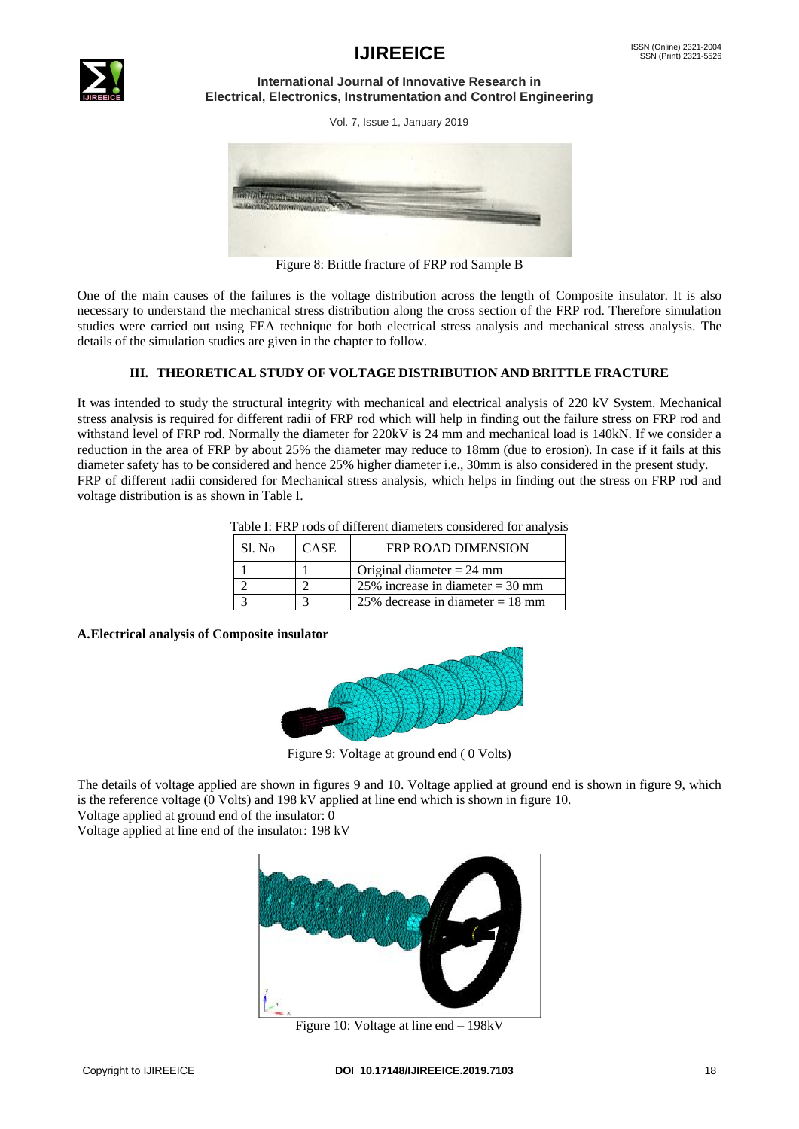

Vol. 7, Issue 1, January 2019



Figure 8: Brittle fracture of FRP rod Sample B

One of the main causes of the failures is the voltage distribution across the length of Composite insulator. It is also necessary to understand the mechanical stress distribution along the cross section of the FRP rod. Therefore simulation studies were carried out using FEA technique for both electrical stress analysis and mechanical stress analysis. The details of the simulation studies are given in the chapter to follow.

#### **III. THEORETICAL STUDY OF VOLTAGE DISTRIBUTION AND BRITTLE FRACTURE**

It was intended to study the structural integrity with mechanical and electrical analysis of 220 kV System. Mechanical stress analysis is required for different radii of FRP rod which will help in finding out the failure stress on FRP rod and withstand level of FRP rod. Normally the diameter for 220kV is 24 mm and mechanical load is 140kN. If we consider a reduction in the area of FRP by about 25% the diameter may reduce to 18mm (due to erosion). In case if it fails at this diameter safety has to be considered and hence 25% higher diameter i.e., 30mm is also considered in the present study. FRP of different radii considered for Mechanical stress analysis, which helps in finding out the stress on FRP rod and voltage distribution is as shown in Table I.

|  | Table I: FRP rods of different diameters considered for analysis |  |
|--|------------------------------------------------------------------|--|
|  |                                                                  |  |

| Sl. No | <b>CASE</b> | <b>FRP ROAD DIMENSION</b>                  |
|--------|-------------|--------------------------------------------|
|        |             | Original diameter $= 24$ mm                |
|        |             | 25% increase in diameter = $30 \text{ mm}$ |
|        |             | 25% decrease in diameter $= 18$ mm         |

#### **A.Electrical analysis of Composite insulator**



Figure 9: Voltage at ground end ( 0 Volts)

The details of voltage applied are shown in figures 9 and 10. Voltage applied at ground end is shown in figure 9, which is the reference voltage (0 Volts) and 198 kV applied at line end which is shown in figure 10.

Voltage applied at ground end of the insulator: 0

Voltage applied at line end of the insulator: 198 kV



Figure 10: Voltage at line end – 198kV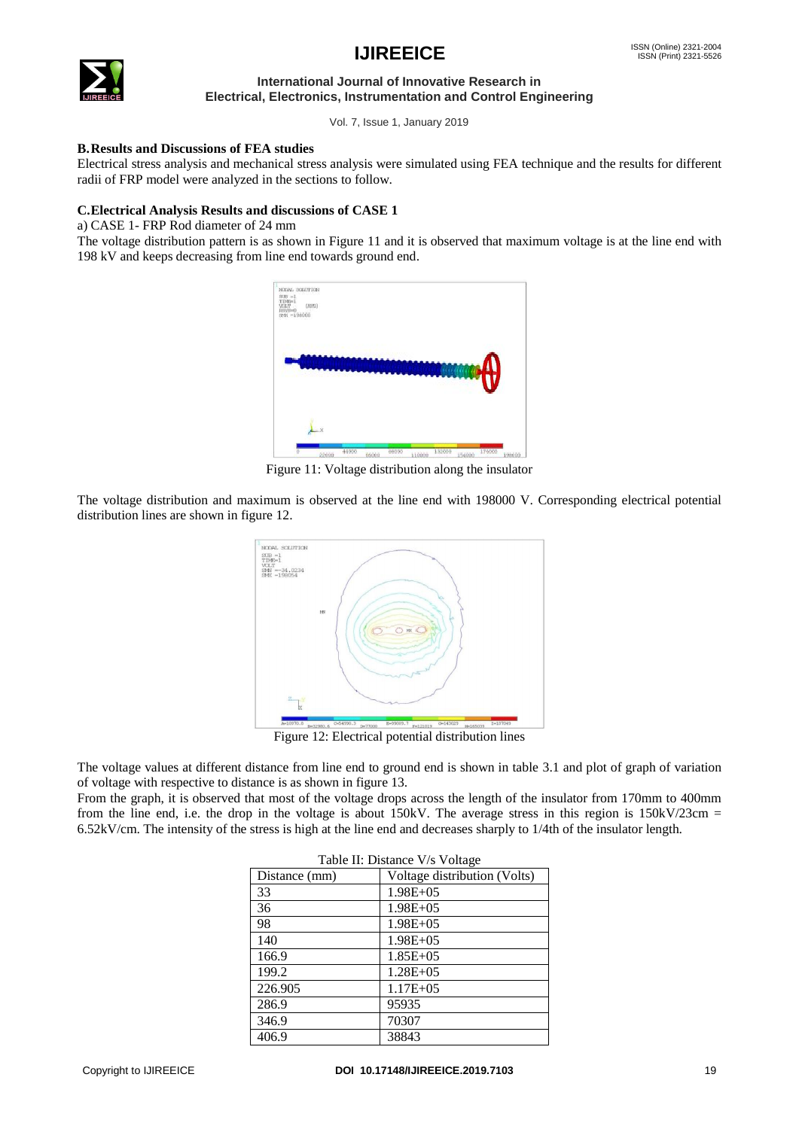## **IJIREEICE** ISSN (Online) 2321-2004



#### **International Journal of Innovative Research in Electrical, Electronics, Instrumentation and Control Engineering**

Vol. 7, Issue 1, January 2019

#### **B.Results and Discussions of FEA studies**

Electrical stress analysis and mechanical stress analysis were simulated using FEA technique and the results for different radii of FRP model were analyzed in the sections to follow.

#### **C.Electrical Analysis Results and discussions of CASE 1**

a) CASE 1- FRP Rod diameter of 24 mm

The voltage distribution pattern is as shown in Figure 11 and it is observed that maximum voltage is at the line end with 198 kV and keeps decreasing from line end towards ground end.



Figure 11: Voltage distribution along the insulator

The voltage distribution and maximum is observed at the line end with 198000 V. Corresponding electrical potential distribution lines are shown in figure 12.



Figure 12: Electrical potential distribution lines

The voltage values at different distance from line end to ground end is shown in table 3.1 and plot of graph of variation of voltage with respective to distance is as shown in figure 13.

From the graph, it is observed that most of the voltage drops across the length of the insulator from 170mm to 400mm from the line end, i.e. the drop in the voltage is about 150kV. The average stress in this region is  $150kV/23cm =$ 6.52kV/cm. The intensity of the stress is high at the line end and decreases sharply to 1/4th of the insulator length.

| Table II: Distance V/s Voltage |                              |  |  |
|--------------------------------|------------------------------|--|--|
| Distance (mm)                  | Voltage distribution (Volts) |  |  |
| 33                             | $1.98E + 05$                 |  |  |
| 36                             | $1.98E + 05$                 |  |  |
| 98                             | $1.98E + 05$                 |  |  |
| 140                            | $1.98E + 05$                 |  |  |
| 166.9                          | $1.85E + 05$                 |  |  |
| 199.2                          | $1.28E + 05$                 |  |  |
| 226.905                        | $1.17E + 0.5$                |  |  |
| 286.9                          | 95935                        |  |  |
| 346.9                          | 70307                        |  |  |
| 406.9                          | 38843                        |  |  |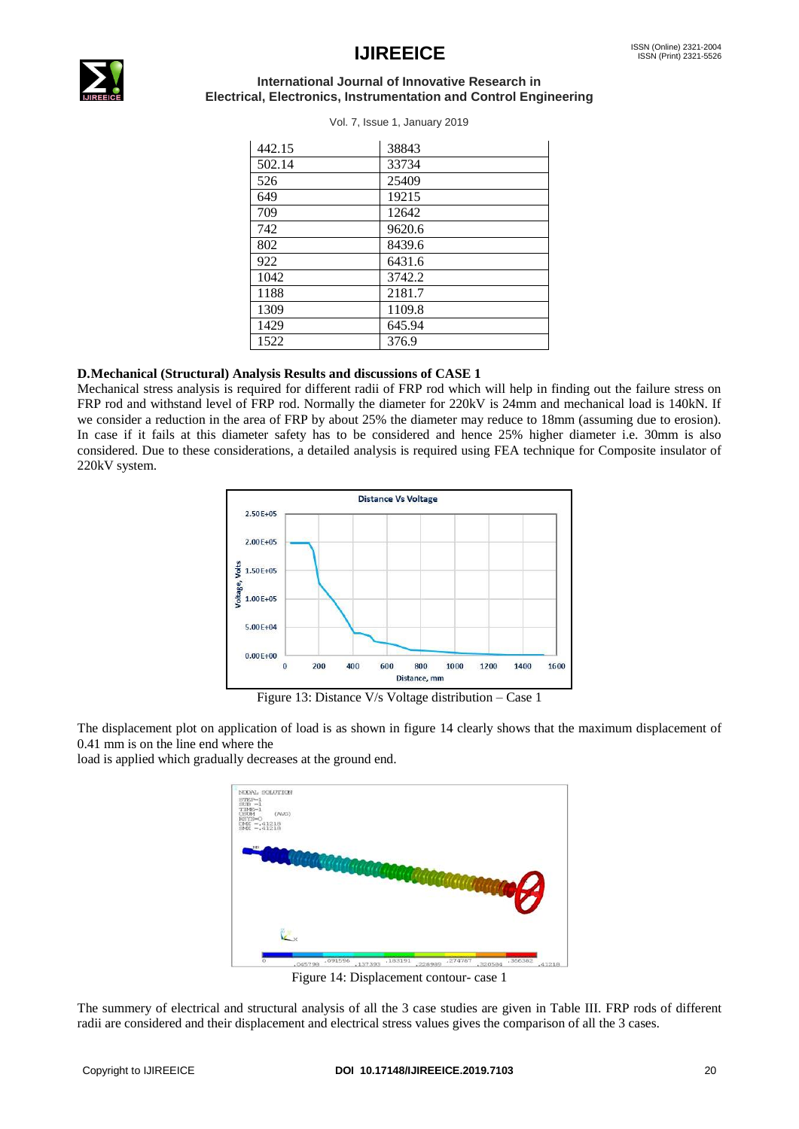

| 442.15 | 38843  |
|--------|--------|
| 502.14 | 33734  |
| 526    | 25409  |
| 649    | 19215  |
| 709    | 12642  |
| 742    | 9620.6 |
| 802    | 8439.6 |
| 922    | 6431.6 |
| 1042   | 3742.2 |
| 1188   | 2181.7 |
| 1309   | 1109.8 |
| 1429   | 645.94 |
| 1522   | 376.9  |

Vol. 7, Issue 1, January 2019

#### **D.Mechanical (Structural) Analysis Results and discussions of CASE 1**

Mechanical stress analysis is required for different radii of FRP rod which will help in finding out the failure stress on FRP rod and withstand level of FRP rod. Normally the diameter for 220kV is 24mm and mechanical load is 140kN. If we consider a reduction in the area of FRP by about 25% the diameter may reduce to 18mm (assuming due to erosion). In case if it fails at this diameter safety has to be considered and hence 25% higher diameter i.e. 30mm is also considered. Due to these considerations, a detailed analysis is required using FEA technique for Composite insulator of 220kV system.



Figure 13: Distance V/s Voltage distribution – Case 1

The displacement plot on application of load is as shown in figure 14 clearly shows that the maximum displacement of 0.41 mm is on the line end where the

load is applied which gradually decreases at the ground end.



Figure 14: Displacement contour- case 1

The summery of electrical and structural analysis of all the 3 case studies are given in Table III. FRP rods of different radii are considered and their displacement and electrical stress values gives the comparison of all the 3 cases.